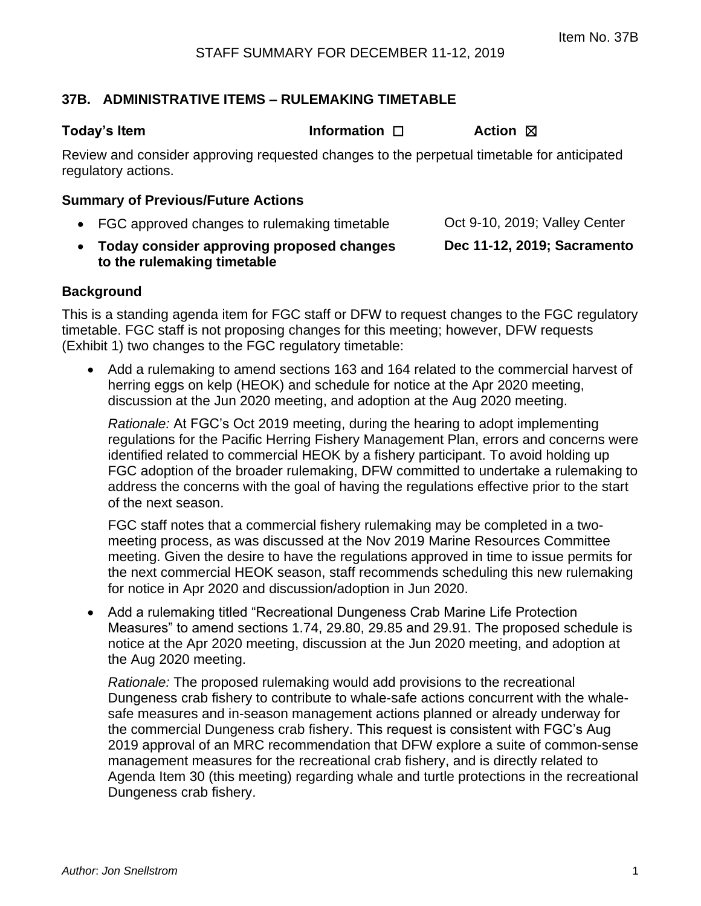### **37B. ADMINISTRATIVE ITEMS – RULEMAKING TIMETABLE**

**Today's Item Information** □ **Action ⊠** 

Review and consider approving requested changes to the perpetual timetable for anticipated regulatory actions.

#### **Summary of Previous/Future Actions**

- FGC approved changes to rulemaking timetable  $\qquad$  Oct 9-10, 2019; Valley Center
- **Today consider approving proposed changes to the rulemaking timetable Dec 11-12, 2019; Sacramento**

#### **Background**

This is a standing agenda item for FGC staff or DFW to request changes to the FGC regulatory timetable. FGC staff is not proposing changes for this meeting; however, DFW requests (Exhibit 1) two changes to the FGC regulatory timetable:

• Add a rulemaking to amend sections 163 and 164 related to the commercial harvest of herring eggs on kelp (HEOK) and schedule for notice at the Apr 2020 meeting, discussion at the Jun 2020 meeting, and adoption at the Aug 2020 meeting.

*Rationale:* At FGC's Oct 2019 meeting, during the hearing to adopt implementing regulations for the Pacific Herring Fishery Management Plan, errors and concerns were identified related to commercial HEOK by a fishery participant. To avoid holding up FGC adoption of the broader rulemaking, DFW committed to undertake a rulemaking to address the concerns with the goal of having the regulations effective prior to the start of the next season.

FGC staff notes that a commercial fishery rulemaking may be completed in a twomeeting process, as was discussed at the Nov 2019 Marine Resources Committee meeting. Given the desire to have the regulations approved in time to issue permits for the next commercial HEOK season, staff recommends scheduling this new rulemaking for notice in Apr 2020 and discussion/adoption in Jun 2020.

• Add a rulemaking titled "Recreational Dungeness Crab Marine Life Protection Measures" to amend sections 1.74, 29.80, 29.85 and 29.91. The proposed schedule is notice at the Apr 2020 meeting, discussion at the Jun 2020 meeting, and adoption at the Aug 2020 meeting.

*Rationale:* The proposed rulemaking would add provisions to the recreational Dungeness crab fishery to contribute to whale-safe actions concurrent with the whalesafe measures and in-season management actions planned or already underway for the commercial Dungeness crab fishery. This request is consistent with FGC's Aug 2019 approval of an MRC recommendation that DFW explore a suite of common-sense management measures for the recreational crab fishery, and is directly related to Agenda Item 30 (this meeting) regarding whale and turtle protections in the recreational Dungeness crab fishery.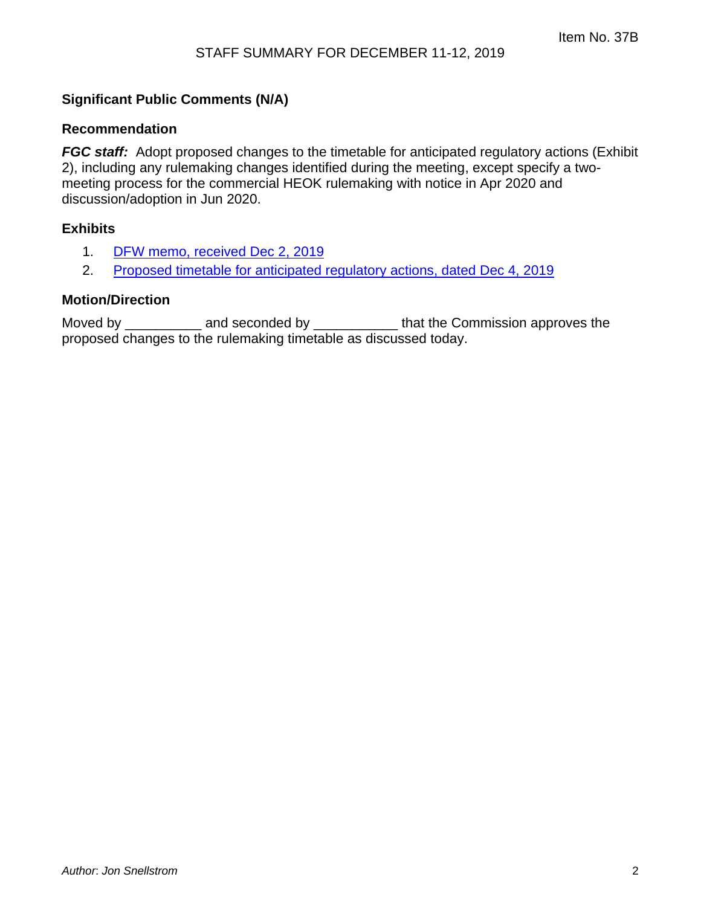### **Significant Public Comments (N/A)**

#### **Recommendation**

*FGC staff:* Adopt proposed changes to the timetable for anticipated regulatory actions (Exhibit 2), including any rulemaking changes identified during the meeting, except specify a twomeeting process for the commercial HEOK rulemaking with notice in Apr 2020 and discussion/adoption in Jun 2020.

#### **Exhibits**

- 1. [DFW memo, received Dec 2, 2019](#page-2-0)
- 2. [Proposed timetable for anticipated regulatory actions, dated Dec 4, 2019](#page-4-0)

#### **Motion/Direction**

Moved by \_\_\_\_\_\_\_\_\_\_\_ and seconded by \_\_\_\_\_\_\_\_\_\_\_\_\_ that the Commission approves the proposed changes to the rulemaking timetable as discussed today.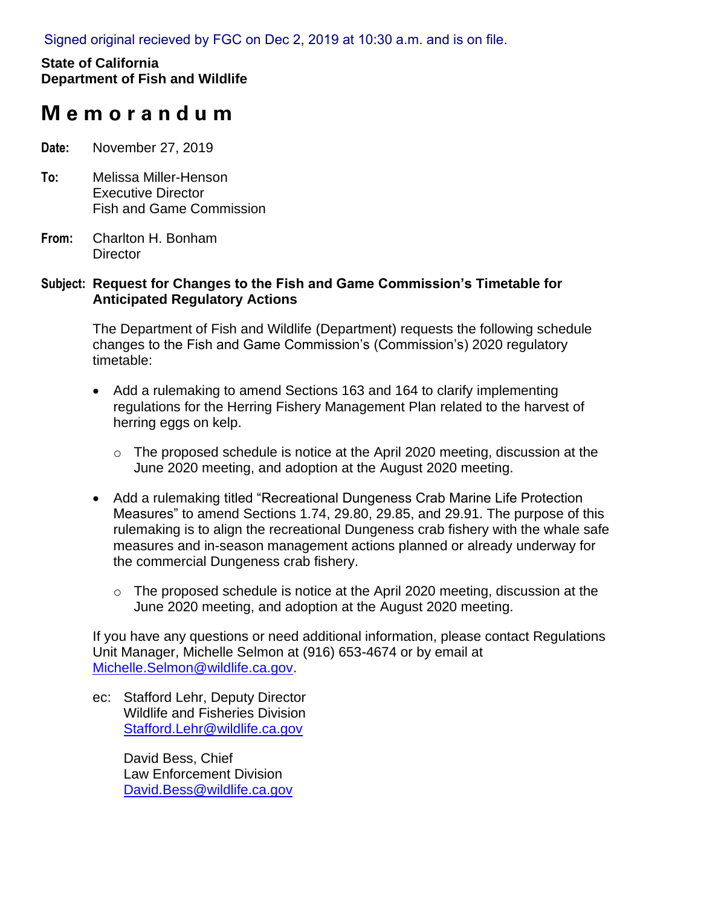<span id="page-2-0"></span>Signed original recieved by FGC on Dec 2, 2019 at 10:30 a.m. and is on file.

## **State of California Department of Fish and Wildlife**

# **M e m o r a n d u m**

- **Date:** November 27, 2019
- **To:** Melissa Miller-Henson Executive Director Fish and Game Commission
- **From:** Charlton H. Bonham **Director**

#### **Subject: Request for Changes to the Fish and Game Commission's Timetable for Anticipated Regulatory Actions**

The Department of Fish and Wildlife (Department) requests the following schedule changes to the Fish and Game Commission's (Commission's) 2020 regulatory timetable:

- Add a rulemaking to amend Sections 163 and 164 to clarify implementing regulations for the Herring Fishery Management Plan related to the harvest of herring eggs on kelp.
	- o The proposed schedule is notice at the April 2020 meeting, discussion at the June 2020 meeting, and adoption at the August 2020 meeting.
- Add a rulemaking titled "Recreational Dungeness Crab Marine Life Protection Measures" to amend Sections 1.74, 29.80, 29.85, and 29.91. The purpose of this rulemaking is to align the recreational Dungeness crab fishery with the whale safe measures and in-season management actions planned or already underway for the commercial Dungeness crab fishery.
	- o The proposed schedule is notice at the April 2020 meeting, discussion at the June 2020 meeting, and adoption at the August 2020 meeting.

If you have any questions or need additional information, please contact Regulations Unit Manager, Michelle Selmon at (916) 653-4674 or by email at [Michelle.Selmon@wildlife.ca.gov.](mailto:Michelle.Selmon@wildlife.ca.gov)

ec: Stafford Lehr, Deputy Director Wildlife and Fisheries Division [Stafford.Lehr@wildlife.ca.gov](mailto:Stafford.Lehr@wildlife.ca.gov)

> David Bess, Chief Law Enforcement Division [David.Bess@wildlife.ca.gov](mailto:David.Bess@wildlife.ca.gov)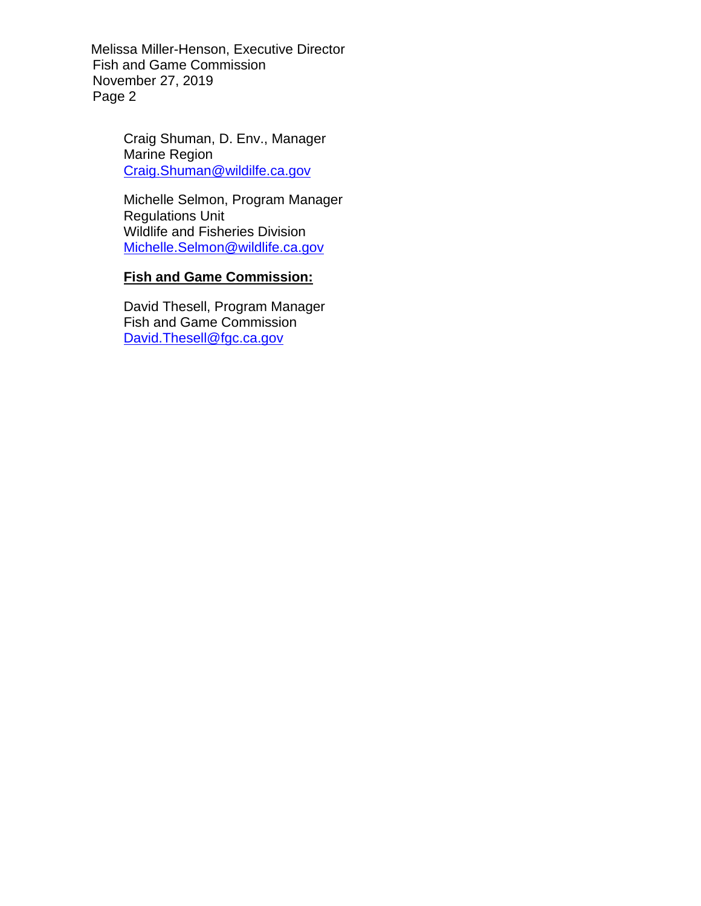Melissa Miller-Henson, Executive Director Fish and Game Commission November 27, 2019 Page 2

> Craig Shuman, D. Env., Manager Marine Region [Craig.Shuman@wildilfe.ca.gov](mailto:Craig.Shuman@wildilfe.ca.gov)

Michelle Selmon, Program Manager Regulations Unit Wildlife and Fisheries Division [Michelle.Selmon@wildlife.ca.gov](mailto:Michelle.Selmon@wildlife.ca.gov)

#### **Fish and Game Commission:**

David Thesell, Program Manager Fish and Game Commission [David.Thesell@fgc.ca.gov](mailto:David.Thesell@fgc.ca.gov)